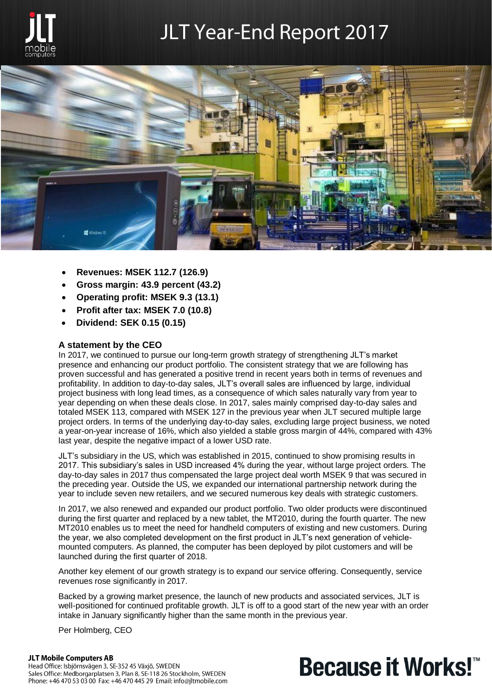

## **JLT Year-End Report 2017**



- **Revenues: MSEK 112.7 (126.9)**
- **Gross margin: 43.9 percent (43.2)**
- **Operating profit: MSEK 9.3 (13.1)**
- **Profit after tax: MSEK 7.0 (10.8)**
- **Dividend: SEK 0.15 (0.15)**

#### **A statement by the CEO**

In 2017, we continued to pursue our long-term growth strategy of strengthening JLT's market presence and enhancing our product portfolio. The consistent strategy that we are following has proven successful and has generated a positive trend in recent years both in terms of revenues and profitability. In addition to day-to-day sales, JLT's overall sales are influenced by large, individual project business with long lead times, as a consequence of which sales naturally vary from year to year depending on when these deals close. In 2017, sales mainly comprised day-to-day sales and totaled MSEK 113, compared with MSEK 127 in the previous year when JLT secured multiple large project orders. In terms of the underlying day-to-day sales, excluding large project business, we noted a year-on-year increase of 16%, which also yielded a stable gross margin of 44%, compared with 43% last year, despite the negative impact of a lower USD rate.

JLT's subsidiary in the US, which was established in 2015, continued to show promising results in 2017. This subsidiary's sales in USD increased 4% during the year, without large project orders. The day-to-day sales in 2017 thus compensated the large project deal worth MSEK 9 that was secured in the preceding year. Outside the US, we expanded our international partnership network during the year to include seven new retailers, and we secured numerous key deals with strategic customers.

In 2017, we also renewed and expanded our product portfolio. Two older products were discontinued during the first quarter and replaced by a new tablet, the MT2010, during the fourth quarter. The new MT2010 enables us to meet the need for handheld computers of existing and new customers. During the year, we also completed development on the first product in JLT's next generation of vehiclemounted computers. As planned, the computer has been deployed by pilot customers and will be launched during the first quarter of 2018.

Another key element of our growth strategy is to expand our service offering. Consequently, service revenues rose significantly in 2017.

Backed by a growing market presence, the launch of new products and associated services, JLT is well-positioned for continued profitable growth. JLT is off to a good start of the new year with an order intake in January significantly higher than the same month in the previous year.

Per Holmberg, CEO

#### **JLT Mobile Computers AB**

Head Office: Isbjörnsvägen 3, SE-352 45 Växjö, SWEDEN Sales Office: Medborgarplatsen 3, Plan 8, SE-118 26 Stockholm, SWEDEN Phone: +46 470 53 03 00 Fax: +46 470 445 29 Email: info@jltmobile.com

# **Because it Works!™**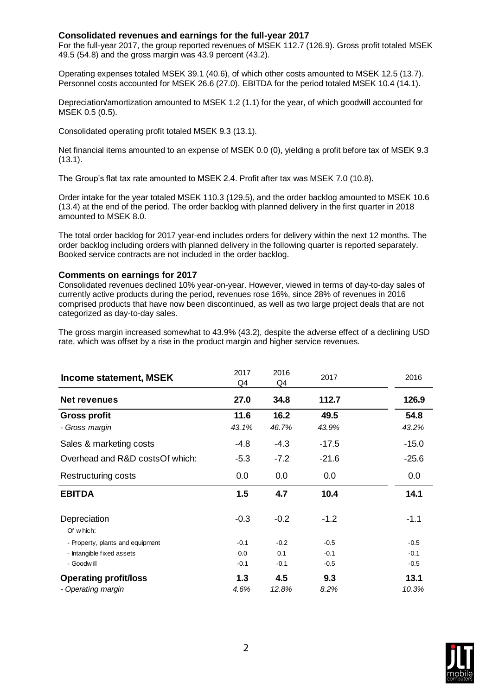#### **Consolidated revenues and earnings for the full-year 2017**

For the full-year 2017, the group reported revenues of MSEK 112.7 (126.9). Gross profit totaled MSEK 49.5 (54.8) and the gross margin was 43.9 percent (43.2).

Operating expenses totaled MSEK 39.1 (40.6), of which other costs amounted to MSEK 12.5 (13.7). Personnel costs accounted for MSEK 26.6 (27.0). EBITDA for the period totaled MSEK 10.4 (14.1).

Depreciation/amortization amounted to MSEK 1.2 (1.1) for the year, of which goodwill accounted for MSEK 0.5 (0.5).

Consolidated operating profit totaled MSEK 9.3 (13.1).

Net financial items amounted to an expense of MSEK 0.0 (0), yielding a profit before tax of MSEK 9.3 (13.1).

The Group's flat tax rate amounted to MSEK 2.4. Profit after tax was MSEK 7.0 (10.8).

Order intake for the year totaled MSEK 110.3 (129.5), and the order backlog amounted to MSEK 10.6 (13.4) at the end of the period. The order backlog with planned delivery in the first quarter in 2018 amounted to MSEK 8.0.

The total order backlog for 2017 year-end includes orders for delivery within the next 12 months. The order backlog including orders with planned delivery in the following quarter is reported separately. Booked service contracts are not included in the order backlog.

#### **Comments on earnings for 2017**

Consolidated revenues declined 10% year-on-year. However, viewed in terms of day-to-day sales of currently active products during the period, revenues rose 16%, since 28% of revenues in 2016 comprised products that have now been discontinued, as well as two large project deals that are not categorized as day-to-day sales.

The gross margin increased somewhat to 43.9% (43.2), despite the adverse effect of a declining USD rate, which was offset by a rise in the product margin and higher service revenues.

| Income statement, MSEK           | 2017<br>Q4 | 2016<br>Q4 | 2017    | 2016    |
|----------------------------------|------------|------------|---------|---------|
| <b>Net revenues</b>              | 27.0       | 34.8       | 112.7   | 126.9   |
| <b>Gross profit</b>              | 11.6       | 16.2       | 49.5    | 54.8    |
| - Gross margin                   | 43.1%      | 46.7%      | 43.9%   | 43.2%   |
| Sales & marketing costs          | -4.8       | $-4.3$     | $-17.5$ | $-15.0$ |
| Overhead and R&D costs Of which: | $-5.3$     | $-7.2$     | $-21.6$ | $-25.6$ |
| Restructuring costs              | 0.0        | 0.0        | 0.0     | 0.0     |
| <b>EBITDA</b>                    | 1.5        | 4.7        | 10.4    | 14.1    |
| Depreciation<br>Of which:        | $-0.3$     | $-0.2$     | $-1.2$  | $-1.1$  |
| - Property, plants and equipment | $-0.1$     | $-0.2$     | $-0.5$  | $-0.5$  |
| - Intangible fixed assets        | 0.0        | 0.1        | $-0.1$  | $-0.1$  |
| - Goodwill                       | $-0.1$     | $-0.1$     | $-0.5$  | $-0.5$  |
| <b>Operating profit/loss</b>     | 1.3        | 4.5        | 9.3     | 13.1    |
| - Operating margin               | 4.6%       | 12.8%      | 8.2%    | 10.3%   |

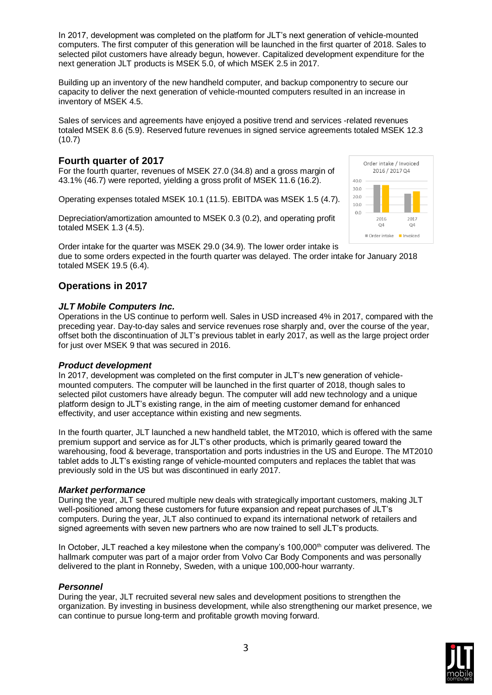In 2017, development was completed on the platform for JLT's next generation of vehicle-mounted computers. The first computer of this generation will be launched in the first quarter of 2018. Sales to selected pilot customers have already begun, however. Capitalized development expenditure for the next generation JLT products is MSEK 5.0, of which MSEK 2.5 in 2017.

Building up an inventory of the new handheld computer, and backup componentry to secure our capacity to deliver the next generation of vehicle-mounted computers resulted in an increase in inventory of MSEK 4.5.

Sales of services and agreements have enjoyed a positive trend and services -related revenues totaled MSEK 8.6 (5.9). Reserved future revenues in signed service agreements totaled MSEK 12.3 (10.7)

#### **Fourth quarter of 2017**

For the fourth quarter, revenues of MSEK 27.0 (34.8) and a gross margin of 43.1% (46.7) were reported, yielding a gross profit of MSEK 11.6 (16.2).

Operating expenses totaled MSEK 10.1 (11.5). EBITDA was MSEK 1.5 (4.7).

Depreciation/amortization amounted to MSEK 0.3 (0.2), and operating profit totaled MSEK 1.3 (4.5).

Order intake for the quarter was MSEK 29.0 (34.9). The lower order intake is due to some orders expected in the fourth quarter was delayed. The order intake for January 2018 totaled MSEK 19.5 (6.4).

#### **Operations in 2017**

#### *JLT Mobile Computers Inc.*

Operations in the US continue to perform well. Sales in USD increased 4% in 2017, compared with the preceding year. Day-to-day sales and service revenues rose sharply and, over the course of the year, offset both the discontinuation of JLT's previous tablet in early 2017, as well as the large project order for just over MSEK 9 that was secured in 2016.

#### *Product development*

In 2017, development was completed on the first computer in JLT's new generation of vehiclemounted computers. The computer will be launched in the first quarter of 2018, though sales to selected pilot customers have already begun. The computer will add new technology and a unique platform design to JLT's existing range, in the aim of meeting customer demand for enhanced effectivity, and user acceptance within existing and new segments.

In the fourth quarter, JLT launched a new handheld tablet, the MT2010, which is offered with the same premium support and service as for JLT's other products, which is primarily geared toward the warehousing, food & beverage, transportation and ports industries in the US and Europe. The MT2010 tablet adds to JLT's existing range of vehicle-mounted computers and replaces the tablet that was previously sold in the US but was discontinued in early 2017.

#### *Market performance*

During the year, JLT secured multiple new deals with strategically important customers, making JLT well-positioned among these customers for future expansion and repeat purchases of JLT's computers. During the year, JLT also continued to expand its international network of retailers and signed agreements with seven new partners who are now trained to sell JLT's products.

In October, JLT reached a key milestone when the company's 100,000<sup>th</sup> computer was delivered. The hallmark computer was part of a major order from Volvo Car Body Components and was personally delivered to the plant in Ronneby, Sweden, with a unique 100,000-hour warranty.

#### *Personnel*

During the year, JLT recruited several new sales and development positions to strengthen the organization. By investing in business development, while also strengthening our market presence, we can continue to pursue long-term and profitable growth moving forward.



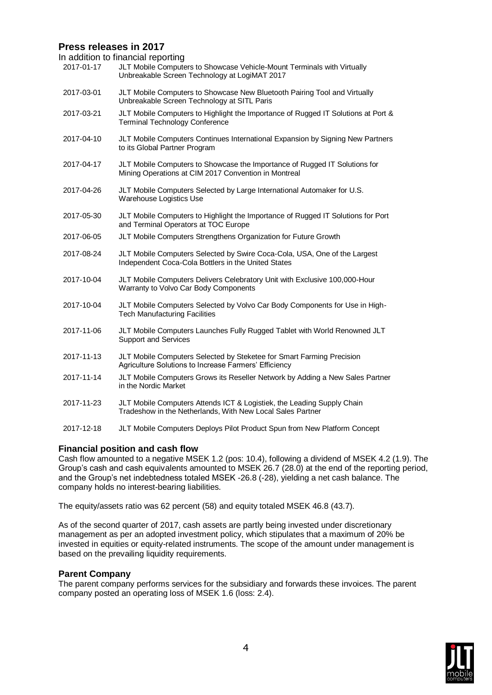#### **Press releases in 2017**

In addition to financial reporting

|            | ιι αννιτινιτ ιν πιταιτυιαι ισροπιτιγ                                                                                                 |
|------------|--------------------------------------------------------------------------------------------------------------------------------------|
| 2017-01-17 | JLT Mobile Computers to Showcase Vehicle-Mount Terminals with Virtually<br>Unbreakable Screen Technology at LogiMAT 2017             |
| 2017-03-01 | JLT Mobile Computers to Showcase New Bluetooth Pairing Tool and Virtually<br>Unbreakable Screen Technology at SITL Paris             |
| 2017-03-21 | JLT Mobile Computers to Highlight the Importance of Rugged IT Solutions at Port &<br><b>Terminal Technology Conference</b>           |
| 2017-04-10 | JLT Mobile Computers Continues International Expansion by Signing New Partners<br>to its Global Partner Program                      |
| 2017-04-17 | JLT Mobile Computers to Showcase the Importance of Rugged IT Solutions for<br>Mining Operations at CIM 2017 Convention in Montreal   |
| 2017-04-26 | JLT Mobile Computers Selected by Large International Automaker for U.S.<br>Warehouse Logistics Use                                   |
| 2017-05-30 | JLT Mobile Computers to Highlight the Importance of Rugged IT Solutions for Port<br>and Terminal Operators at TOC Europe             |
| 2017-06-05 | JLT Mobile Computers Strengthens Organization for Future Growth                                                                      |
| 2017-08-24 | JLT Mobile Computers Selected by Swire Coca-Cola, USA, One of the Largest<br>Independent Coca-Cola Bottlers in the United States     |
| 2017-10-04 | JLT Mobile Computers Delivers Celebratory Unit with Exclusive 100,000-Hour<br>Warranty to Volvo Car Body Components                  |
| 2017-10-04 | JLT Mobile Computers Selected by Volvo Car Body Components for Use in High-<br><b>Tech Manufacturing Facilities</b>                  |
| 2017-11-06 | JLT Mobile Computers Launches Fully Rugged Tablet with World Renowned JLT<br><b>Support and Services</b>                             |
| 2017-11-13 | JLT Mobile Computers Selected by Steketee for Smart Farming Precision<br>Agriculture Solutions to Increase Farmers' Efficiency       |
| 2017-11-14 | JLT Mobile Computers Grows its Reseller Network by Adding a New Sales Partner<br>in the Nordic Market                                |
| 2017-11-23 | JLT Mobile Computers Attends ICT & Logistiek, the Leading Supply Chain<br>Tradeshow in the Netherlands, With New Local Sales Partner |
| 2017-12-18 | JLT Mobile Computers Deploys Pilot Product Spun from New Platform Concept                                                            |

#### **Financial position and cash flow**

Cash flow amounted to a negative MSEK 1.2 (pos: 10.4), following a dividend of MSEK 4.2 (1.9). The Group's cash and cash equivalents amounted to MSEK 26.7 (28.0) at the end of the reporting period, and the Group's net indebtedness totaled MSEK -26.8 (-28), yielding a net cash balance. The company holds no interest-bearing liabilities.

The equity/assets ratio was 62 percent (58) and equity totaled MSEK 46.8 (43.7).

As of the second quarter of 2017, cash assets are partly being invested under discretionary management as per an adopted investment policy, which stipulates that a maximum of 20% be invested in equities or equity-related instruments. The scope of the amount under management is based on the prevailing liquidity requirements.

#### **Parent Company**

The parent company performs services for the subsidiary and forwards these invoices. The parent company posted an operating loss of MSEK 1.6 (loss: 2.4).

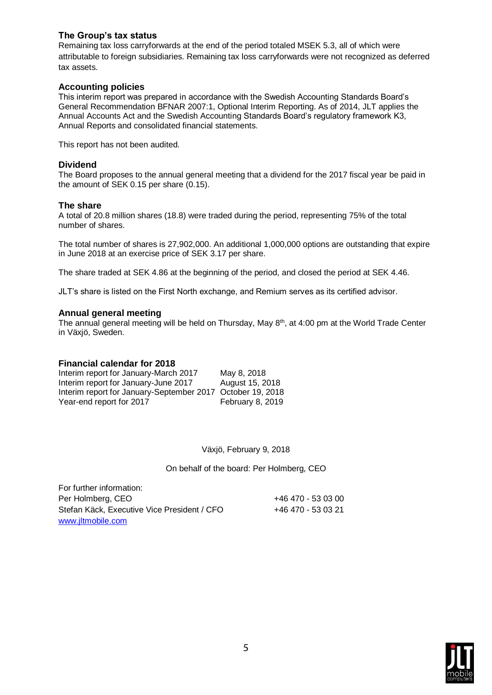#### **The Group's tax status**

Remaining tax loss carryforwards at the end of the period totaled MSEK 5.3, all of which were attributable to foreign subsidiaries. Remaining tax loss carryforwards were not recognized as deferred tax assets.

#### **Accounting policies**

This interim report was prepared in accordance with the Swedish Accounting Standards Board's General Recommendation BFNAR 2007:1, Optional Interim Reporting. As of 2014, JLT applies the Annual Accounts Act and the Swedish Accounting Standards Board's regulatory framework K3, Annual Reports and consolidated financial statements.

This report has not been audited.

#### **Dividend**

The Board proposes to the annual general meeting that a dividend for the 2017 fiscal year be paid in the amount of SEK 0.15 per share (0.15).

#### **The share**

A total of 20.8 million shares (18.8) were traded during the period, representing 75% of the total number of shares.

The total number of shares is 27,902,000. An additional 1,000,000 options are outstanding that expire in June 2018 at an exercise price of SEK 3.17 per share.

The share traded at SEK 4.86 at the beginning of the period, and closed the period at SEK 4.46.

JLT's share is listed on the First North exchange, and Remium serves as its certified advisor.

#### **Annual general meeting**

The annual general meeting will be held on Thursday, May 8<sup>th</sup>, at 4:00 pm at the World Trade Center in Växjö, Sweden.

#### **Financial calendar for 2018**

| Interim report for January-March 2017                      | May 8, 2018      |
|------------------------------------------------------------|------------------|
| Interim report for January-June 2017                       | August 15, 2018  |
| Interim report for January-September 2017 October 19, 2018 |                  |
| Year-end report for 2017                                   | February 8, 2019 |

Växjö, February 9, 2018

On behalf of the board: Per Holmberg, CEO

For further information: Per Holmberg, CEO +46 470 - 53 03 00 Stefan Käck, Executive Vice President / CFO +46 470 - 53 03 21 [www.jltmobile.com](http://www.jltmobile.com/)

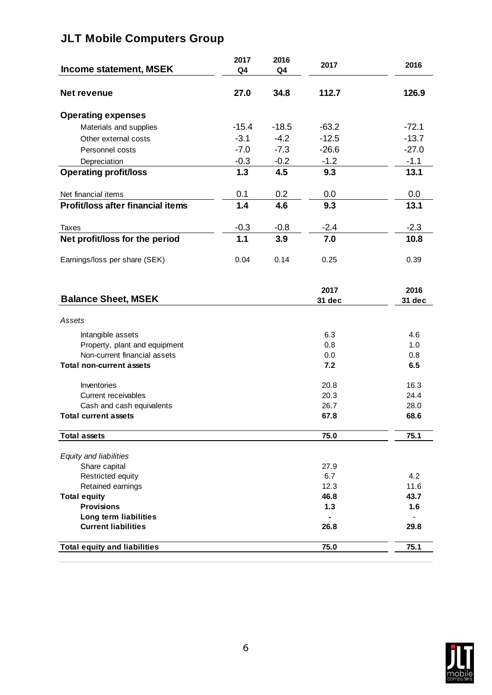### **JLT Mobile Computers Group**

| Income statement, MSEK                              | 2017<br>Q4 | 2016<br>Q4 | 2017           | 2016           |
|-----------------------------------------------------|------------|------------|----------------|----------------|
| Net revenue                                         | 27.0       | 34.8       | 112.7          | 126.9          |
| <b>Operating expenses</b>                           |            |            |                |                |
| Materials and supplies                              | $-15.4$    | $-18.5$    | $-63.2$        | $-72.1$        |
| Other external costs                                | $-3.1$     | $-4.2$     | $-12.5$        | $-13.7$        |
| Personnel costs                                     | $-7.0$     | $-7.3$     | $-26.6$        | $-27.0$        |
| Depreciation                                        | $-0.3$     | $-0.2$     | $-1.2$         | $-1.1$         |
| <b>Operating profit/loss</b>                        | 1.3        | 4.5        | 9.3            | 13.1           |
| Net financial items                                 | 0.1        | 0.2        | 0.0            | 0.0            |
| <b>Profit/loss after financial items</b>            | 1.4        | 4.6        | 9.3            | 13.1           |
| <b>Taxes</b>                                        | $-0.3$     | $-0.8$     | $-2.4$         | $-2.3$         |
| Net profit/loss for the period                      | 1.1        | 3.9        | 7.0            | 10.8           |
| Earnings/loss per share (SEK)                       | 0.04       | 0.14       | 0.25           | 0.39           |
| <b>Balance Sheet, MSEK</b>                          |            |            | 2017<br>31 dec | 2016<br>31 dec |
| Assets                                              |            |            |                |                |
| Intangible assets                                   |            |            | 6.3            | 4.6            |
| Property, plant and equipment                       |            |            | 0.8            | 1.0            |
| Non-current financial assets                        |            |            | 0.0            | 0.8            |
| <b>Total non-current assets</b>                     |            |            | 7.2            | 6.5            |
| Inventories                                         |            |            | 20.8           | 16.3           |
| Current receivables                                 |            |            | 20.3           | 24.4           |
| Cash and cash equivalents                           |            |            | 26.7           | 28.0           |
| <b>Total current assets</b>                         |            |            | 67.8           | 68.6           |
| <b>Total assets</b>                                 |            |            | 75.0           | 75.1           |
| Equity and liabilities                              |            |            |                |                |
| Share capital                                       |            |            | 27.9           |                |
| Restricted equity                                   |            |            | 6.7            | 4.2            |
| Retained earnings                                   |            |            | 12.3           | 11.6           |
| <b>Total equity</b>                                 |            |            | 46.8           | 43.7           |
| <b>Provisions</b>                                   |            |            | $1.3$          | 1.6            |
| Long term liabilities<br><b>Current liabilities</b> |            |            | 26.8           | 29.8           |
| <b>Total equity and liabilities</b>                 |            |            | 75.0           | 75.1           |
|                                                     |            |            |                |                |